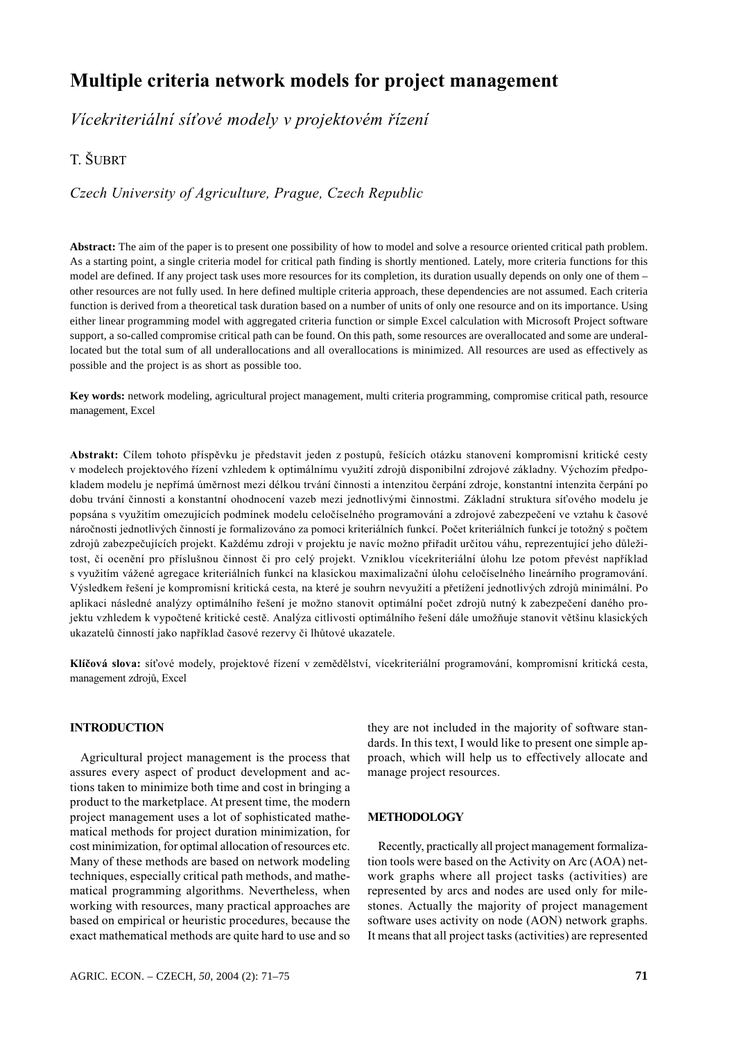# Multiple criteria network models for project management

Vícekriteriální síťové modely v projektovém řízení

T. ŠUBRT

Czech University of Agriculture, Prague, Czech Republic

**Abstract:** The aim of the paper is to present one possibility of how to model and solve a resource oriented critical path problem. As a starting point, a single criteria model for critical path finding is shortly mentioned. Lately, more criteria functions for this model are defined. If any project task uses more resources for its completion, its duration usually depends on only one of them – other resources are not fully used. In here defined multiple criteria approach, these dependencies are not assumed. Each criteria function is derived from a theoretical task duration based on a number of units of only one resource and on its importance. Using either linear programming model with aggregated criteria function or simple Excel calculation with Microsoft Project software support, a so-called compromise critical path can be found. On this path, some resources are overallocated and some are underallocated but the total sum of all underallocations and all overallocations is minimized. All resources are used as effectively as possible and the project is as short as possible too.

**Key words:** network modeling, agricultural project management, multi criteria programming, compromise critical path, resource management, Excel

Abstrakt: Cílem tohoto příspěvku je představit jeden z postupů, řešících otázku stanovení kompromisní kritické cesty v modelech projektového řízení vzhledem k optimálnímu využití zdrojů disponibilní zdrojové základny. Výchozím předpokladem modelu je nepřímá úměrnost mezi délkou trvání činnosti a intenzitou čerpání zdroje, konstantní intenzita čerpání po dobu trvání činnosti a konstantní ohodnocení vazeb mezi jednotlivými činnostmi. Základní struktura síťového modelu je popsána s využitím omezujících podmínek modelu celočíselného programování a zdrojové zabezpečení ve vztahu k časové náročnosti jednotlivých činností je formalizováno za pomoci kriteriálních funkcí. Počet kriteriálních funkcí je totožný s počtem zdrojů zabezpečujících projekt. Každému zdroji v projektu je navíc možno přiřadit určitou váhu, reprezentující jeho důležitost, či ocenění pro příslušnou činnost či pro celý projekt. Vzniklou vícekriteriální úlohu lze potom převést například s využitím vážené agregace kriteriálních funkcí na klasickou maximalizační úlohu celočíselného lineárního programování. Výsledkem řešení je kompromisní kritická cesta, na které je souhrn nevyužití a přetížení jednotlivých zdrojů minimální. Po aplikaci následné analýzy optimálního řešení je možno stanovit optimální počet zdrojů nutný k zabezpečení daného projektu vzhledem k vypočtené kritické cestě. Analýza citlivosti optimálního řešení dále umožňuje stanovit většinu klasických ukazatelů činností jako například časové rezervy či lhůtové ukazatele.

Klíčová slova: síťové modely, projektové řízení v zemědělství, vícekriteriální programování, kompromisní kritická cesta, management zdrojů, Excel

# **INTRODUCTION**

Agricultural project management is the process that assures every aspect of product development and actions taken to minimize both time and cost in bringing a product to the marketplace. At present time, the modern project management uses a lot of sophisticated mathematical methods for project duration minimization, for cost minimization, for optimal allocation of resources etc. Many of these methods are based on network modeling techniques, especially critical path methods, and mathematical programming algorithms. Nevertheless, when working with resources, many practical approaches are based on empirical or heuristic procedures, because the exact mathematical methods are quite hard to use and so they are not included in the majority of software standards. In this text, I would like to present one simple approach, which will help us to effectively allocate and manage project resources.

## METHODOLOGY

Recently, practically all project management formalization tools were based on the Activity on Arc (AOA) network graphs where all project tasks (activities) are represented by arcs and nodes are used only for milestones. Actually the majority of project management software uses activity on node (AON) network graphs. It means that all project tasks (activities) are represented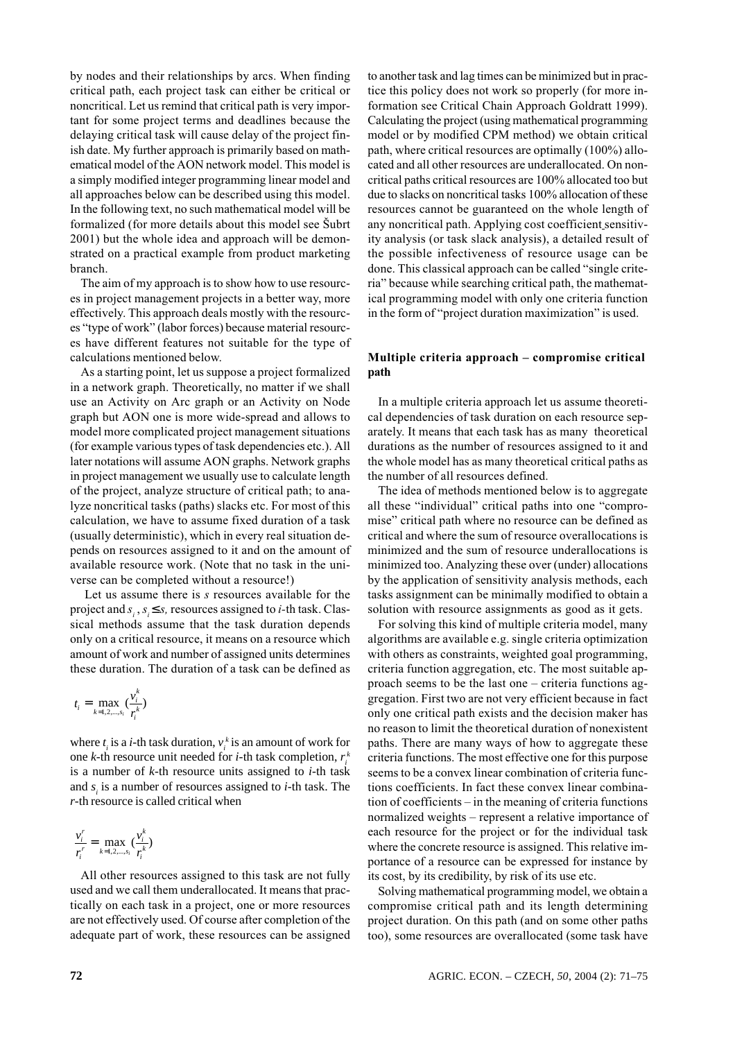by nodes and their relationships by arcs. When finding critical path, each project task can either be critical or noncritical. Let us remind that critical path is very important for some project terms and deadlines because the delaying critical task will cause delay of the project finish date. My further approach is primarily based on mathematical model of the AON network model. This model is a simply modified integer programming linear model and all approaches below can be described using this model. In the following text, no such mathematical model will be formalized (for more details about this model see Subrt 2001) but the whole idea and approach will be demonstrated on a practical example from product marketing branch.

The aim of my approach is to show how to use resources in project management projects in a better way, more effectively. This approach deals mostly with the resources "type of work" (labor forces) because material resources have different features not suitable for the type of calculations mentioned below.

As a starting point, let us suppose a project formalized in a network graph. Theoretically, no matter if we shall use an Activity on Arc graph or an Activity on Node graph but AON one is more wide-spread and allows to model more complicated project management situations (for example various types of task dependencies etc.). All later notations will assume AON graphs. Network graphs in project management we usually use to calculate length of the project, analyze structure of critical path; to analyze noncritical tasks (paths) slacks etc. For most of this calculation, we have to assume fixed duration of a task (usually deterministic), which in every real situation depends on resources assigned to it and on the amount of available resource work. (Note that no task in the universe can be completed without a resource!)

Let us assume there is  $s$  resources available for the project and  $s_i$ ,  $s_i \leq s$ , resources assigned to *i*-th task. Classical methods assume that the task duration depends only on a critical resource, it means on a resource which amount of work and number of assigned units determines these duration. The duration of a task can be defined as

$$
t_i = \max_{k=1,2,...,s_i} (\frac{v_i^k}{r_i^k})
$$

where  $t_i$  is a *i*-th task duration,  $v_i^k$  is an amount of work for one k-th resource unit needed for *i*-th task completion,  $r_i^k$ is a number of  $k$ -th resource units assigned to  $i$ -th task and  $s_i$  is a number of resources assigned to *i*-th task. The  $r$ -th resource is called critical when

$$
\frac{v_i^r}{r_i^r} = \max_{k=1,2,\dots,s_i} \left(\frac{v_i^k}{r_i^k}\right)
$$

All other resources assigned to this task are not fully used and we call them underallocated. It means that practically on each task in a project, one or more resources are not effectively used. Of course after completion of the adequate part of work, these resources can be assigned to another task and lag times can be minimized but in practice this policy does not work so properly (for more information see Critical Chain Approach Goldratt 1999). Calculating the project (using mathematical programming model or by modified CPM method) we obtain critical path, where critical resources are optimally (100%) allocated and all other resources are underallocated. On noncritical paths critical resources are 100% allocated too but due to slacks on noncritical tasks 100% allocation of these resources cannot be guaranteed on the whole length of any noncritical path. Applying cost coefficient sensitivity analysis (or task slack analysis), a detailed result of the possible infectiveness of resource usage can be done. This classical approach can be called "single criteria" because while searching critical path, the mathematical programming model with only one criteria function in the form of "project duration maximization" is used.

# Multiple criteria approach – compromise critical path

In a multiple criteria approach let us assume theoretical dependencies of task duration on each resource separately. It means that each task has as many theoretical durations as the number of resources assigned to it and the whole model has as many theoretical critical paths as the number of all resources defined.

The idea of methods mentioned below is to aggregate all these "individual" critical paths into one "compromise" critical path where no resource can be defined as critical and where the sum of resource overallocations is minimized and the sum of resource underallocations is minimized too. Analyzing these over (under) allocations by the application of sensitivity analysis methods, each tasks assignment can be minimally modified to obtain a solution with resource assignments as good as it gets.

For solving this kind of multiple criteria model, many algorithms are available e.g. single criteria optimization with others as constraints, weighted goal programming, criteria function aggregation, etc. The most suitable approach seems to be the last one - criteria functions aggregation. First two are not very efficient because in fact only one critical path exists and the decision maker has no reason to limit the theoretical duration of nonexistent paths. There are many ways of how to aggregate these criteria functions. The most effective one for this purpose seems to be a convex linear combination of criteria functions coefficients. In fact these convex linear combination of coefficients – in the meaning of criteria functions normalized weights – represent a relative importance of each resource for the project or for the individual task where the concrete resource is assigned. This relative importance of a resource can be expressed for instance by its cost, by its credibility, by risk of its use etc.

Solving mathematical programming model, we obtain a compromise critical path and its length determining project duration. On this path (and on some other paths) too), some resources are overallocated (some task have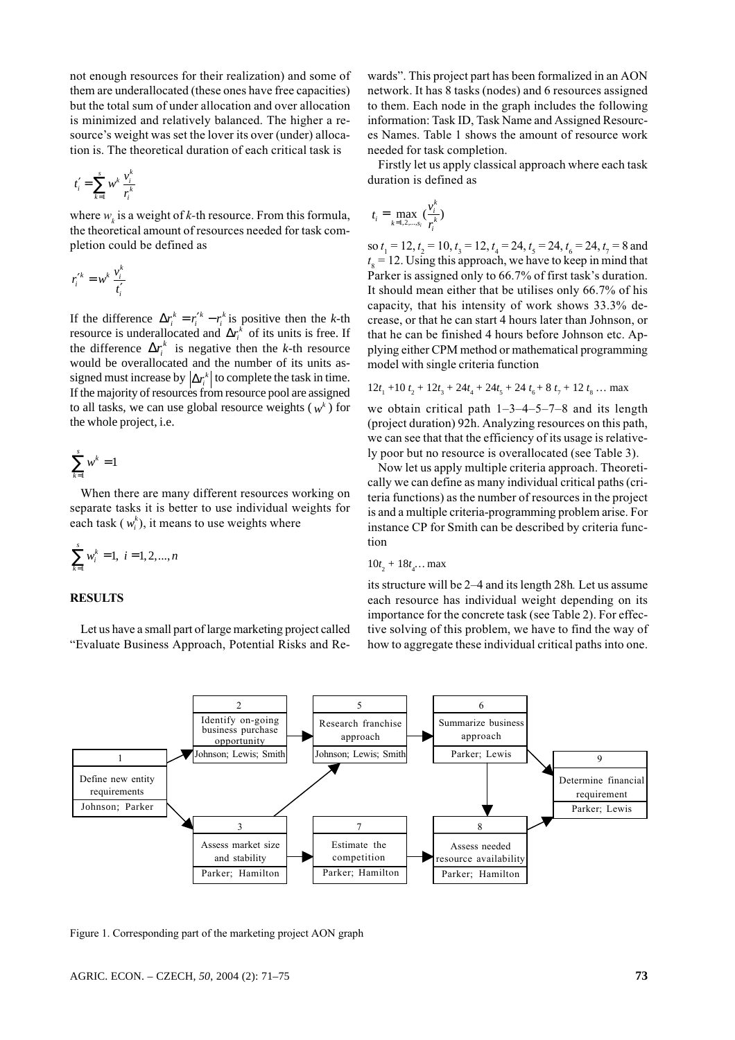not enough resources for their realization) and some of them are underallocated (these ones have free capacities) but the total sum of under allocation and over allocation is minimized and relatively balanced. The higher a resource's weight was set the lover its over (under) allocation is. The theoretical duration of each critical task is

$$
t_i' = \sum_{k=1}^s w^k \frac{v_i^k}{r_i^k}
$$

where  $w_k$  is a weight of k-th resource. From this formula, the theoretical amount of resources needed for task completion could be defined as

$$
r_i^{\prime k} = w^k \frac{v_i^k}{t_i^{\prime}}
$$

If the difference  $\Delta r_i^k = r_i^{\prime k} - r_i^k$  is positive then the k-th resource is underallocated and  $\Delta r_i^k$  of its units is free. If the difference  $\Delta r_i^k$  is negative then the k-th resource would be overallocated and the number of its units assigned must increase by  $|\Delta r_i^k|$  to complete the task in time. If the majority of resources from resource pool are assigned to all tasks, we can use global resource weights  $(w^k)$  for the whole project, i.e.

$$
\sum_{k=1}^s w^k = 1
$$

When there are many different resources working on separate tasks it is better to use individual weights for each task  $(w_i^k)$ , it means to use weights where

$$
\sum_{k=1}^{s} w_i^k = 1, \ i = 1, 2, ..., n
$$

#### **RESULTS**

Let us have a small part of large marketing project called "Evaluate Business Approach, Potential Risks and Rewards". This project part has been formalized in an AON network. It has 8 tasks (nodes) and 6 resources assigned to them. Each node in the graph includes the following information: Task ID, Task Name and Assigned Resources Names. Table 1 shows the amount of resource work needed for task completion.

Firstly let us apply classical approach where each task duration is defined as

$$
t_i = \max_{k=1,2,...,s_i} (\frac{v_i^k}{r^k})
$$

so  $t_1 = 12$ ,  $t_2 = 10$ ,  $t_3 = 12$ ,  $t_4 = 24$ ,  $t_5 = 24$ ,  $t_6 = 24$ ,  $t_7 = 8$  and  $t<sub>s</sub> = 12$ . Using this approach, we have to keep in mind that Parker is assigned only to 66.7% of first task's duration. It should mean either that be utilises only 66.7% of his capacity, that his intensity of work shows 33.3% decrease, or that he can start 4 hours later than Johnson, or that he can be finished 4 hours before Johnson etc. Applying either CPM method or mathematical programming model with single criteria function

$$
12t_1 + 10t_2 + 12t_3 + 24t_4 + 24t_5 + 24t_6 + 8t_7 + 12t_8
$$
 ... max

we obtain critical path  $1-3-4-5-7-8$  and its length (project duration) 92h. Analyzing resources on this path, we can see that that the efficiency of its usage is relatively poor but no resource is overallocated (see Table 3).

Now let us apply multiple criteria approach. Theoretically we can define as many individual critical paths (criteria functions) as the number of resources in the project is and a multiple criteria-programming problem arise. For instance CP for Smith can be described by criteria function

$$
10t_2 + 18t_3...
$$
 max

its structure will be 2–4 and its length 28h. Let us assume each resource has individual weight depending on its importance for the concrete task (see Table 2). For effective solving of this problem, we have to find the way of how to aggregate these individual critical paths into one.



Figure 1. Corresponding part of the marketing project AON graph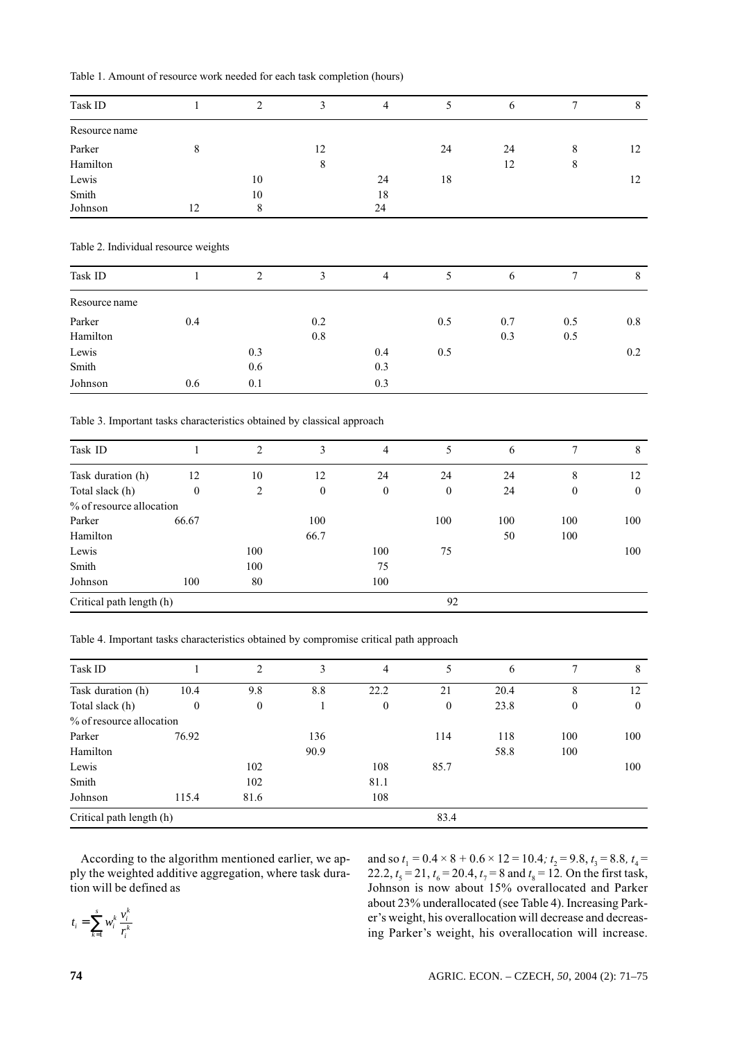Table 1. Amount of resource work needed for each task completion (hours)

| Task ID       |    | 2  | 3  | 4  |    | 6  |   | 8  |
|---------------|----|----|----|----|----|----|---|----|
| Resource name |    |    |    |    |    |    |   |    |
| Parker        | 8  |    | 12 |    | 24 | 24 | 8 | 12 |
| Hamilton      |    |    | 8  |    |    | 12 | 8 |    |
| Lewis         |    | 10 |    | 24 | 18 |    |   | 12 |
| Smith         |    | 10 |    | 18 |    |    |   |    |
| Johnson       | 12 | 8  |    | 24 |    |    |   |    |

Table 2. Individual resource weights

| Task ID       |     | 2   | 3   | 4   |     | 6   |     | 8   |
|---------------|-----|-----|-----|-----|-----|-----|-----|-----|
| Resource name |     |     |     |     |     |     |     |     |
| Parker        | 0.4 |     | 0.2 |     | 0.5 | 0.7 | 0.5 | 0.8 |
| Hamilton      |     |     | 0.8 |     |     | 0.3 | 0.5 |     |
| Lewis         |     | 0.3 |     | 0.4 | 0.5 |     |     | 0.2 |
| Smith         |     | 0.6 |     | 0.3 |     |     |     |     |
| Johnson       | 0.6 | 0.1 |     | 0.3 |     |     |     |     |

Table 3. Important tasks characteristics obtained by classical approach

| Task ID                  |                  | 2   | 3            | 4            |              | 6   | −            | 8            |
|--------------------------|------------------|-----|--------------|--------------|--------------|-----|--------------|--------------|
| Task duration (h)        | 12               | 10  | 12           | 24           | 24           | 24  | 8            | 12           |
| Total slack (h)          | $\boldsymbol{0}$ | 2   | $\mathbf{0}$ | $\mathbf{0}$ | $\mathbf{0}$ | 24  | $\mathbf{0}$ | $\mathbf{0}$ |
| % of resource allocation |                  |     |              |              |              |     |              |              |
| Parker                   | 66.67            |     | 100          |              | 100          | 100 | 100          | 100          |
| Hamilton                 |                  |     | 66.7         |              |              | 50  | 100          |              |
| Lewis                    |                  | 100 |              | 100          | 75           |     |              | 100          |
| Smith                    |                  | 100 |              | 75           |              |     |              |              |
| Johnson                  | 100              | 80  |              | 100          |              |     |              |              |
| Critical path length (h) |                  |     |              |              | 92           |     |              |              |

Table 4. Important tasks characteristics obtained by compromise critical path approach

| Task ID                  |                  | 2        | 3    | 4            |                  | 6    | −            | 8              |
|--------------------------|------------------|----------|------|--------------|------------------|------|--------------|----------------|
| Task duration (h)        | 10.4             | 9.8      | 8.8  | 22.2         | 21               | 20.4 | 8            | 12             |
| Total slack (h)          | $\boldsymbol{0}$ | $\bf{0}$ |      | $\mathbf{0}$ | $\boldsymbol{0}$ | 23.8 | $\mathbf{0}$ | $\overline{0}$ |
| % of resource allocation |                  |          |      |              |                  |      |              |                |
| Parker                   | 76.92            |          | 136  |              | 114              | 118  | 100          | 100            |
| Hamilton                 |                  |          | 90.9 |              |                  | 58.8 | 100          |                |
| Lewis                    |                  | 102      |      | 108          | 85.7             |      |              | 100            |
| Smith                    |                  | 102      |      | 81.1         |                  |      |              |                |
| Johnson                  | 115.4            | 81.6     |      | 108          |                  |      |              |                |
| Critical path length (h) |                  |          |      |              | 83.4             |      |              |                |

According to the algorithm mentioned earlier, we apply the weighted additive aggregation, where task duration will be defined as

and so 
$$
t_1 = 0.4 \times 8 + 0.6 \times 12 = 10.4
$$
;  $t_2 = 9.8$ ,  $t_3 = 8.8$ ,  $t_4 = 22.2$ ,  $t_5 = 21$ ,  $t_6 = 20.4$ ,  $t_7 = 8$  and  $t_8 = 12$ . On the first task, Johnson is now about 15% overloaded and Parker about 23% underallocated (see Table 4). Increasing Parker's weight, his overallocation will decrease and decreasing Parker's weight, his overallocation will increase.